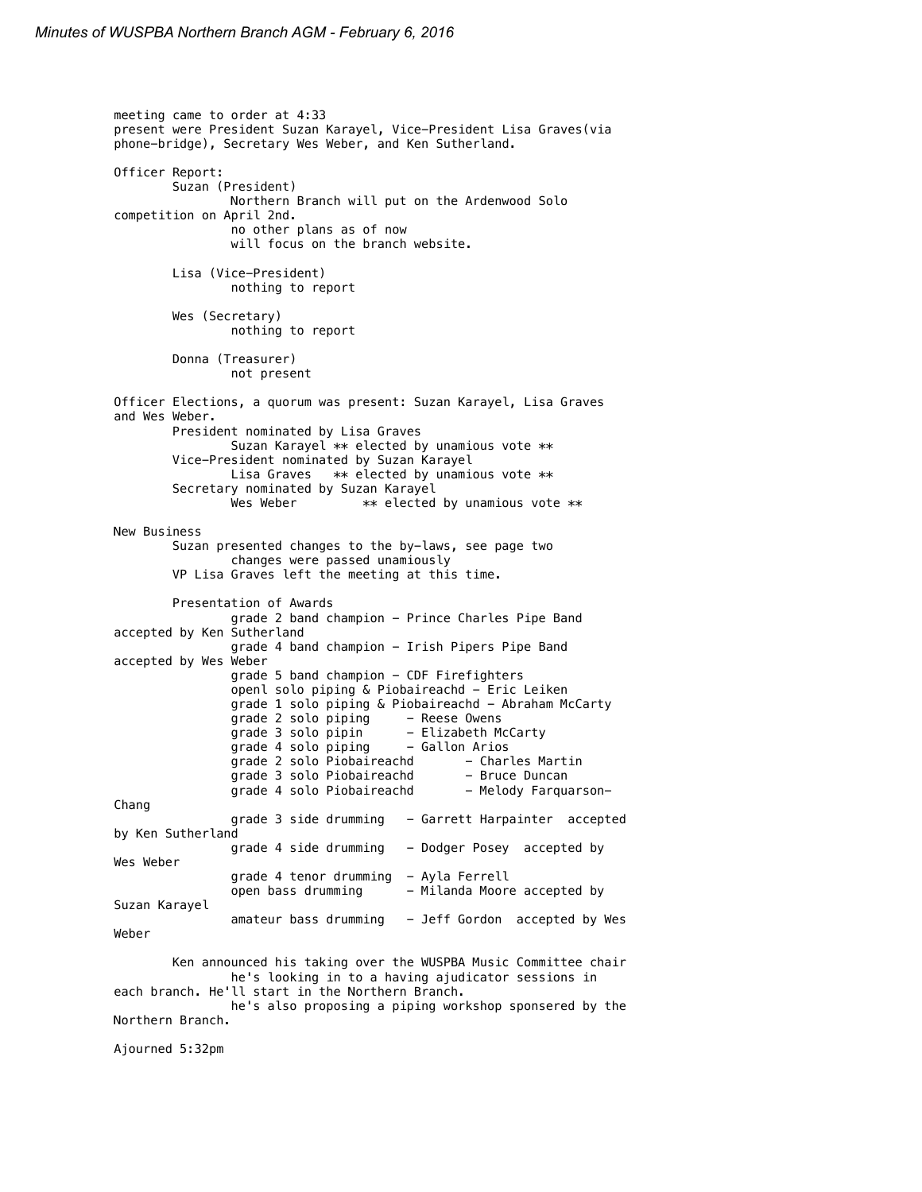```
meeting came to order at 4:33
present were President Suzan Karayel, Vice-President Lisa Graves(via 
phone-bridge), Secretary Wes Weber, and Ken Sutherland.
Officer Report:
        Suzan (President)
                Northern Branch will put on the Ardenwood Solo 
competition on April 2nd.
                 no other plans as of now
                will focus on the branch website.
        Lisa (Vice-President)
                 nothing to report
        Wes (Secretary)
                 nothing to report
        Donna (Treasurer)
                 not present
Officer Elections, a quorum was present: Suzan Karayel, Lisa Graves 
and Wes Weber.
        President nominated by Lisa Graves
                 Suzan Karayel ** elected by unamious vote **
        Vice-President nominated by Suzan Karayel
                 Lisa Graves ** elected by unamious vote **
        Secretary nominated by Suzan Karayel
                 Wes Weber ** elected by unamious vote **New Business
        Suzan presented changes to the by-laws, see page two
                 changes were passed unamiously
        VP Lisa Graves left the meeting at this time.
        Presentation of Awards
                 grade 2 band champion - Prince Charles Pipe Band 
accepted by Ken Sutherland
                 grade 4 band champion - Irish Pipers Pipe Band 
accepted by Wes Weber
                 grade 5 band champion - CDF Firefighters
                 openl solo piping & Piobaireachd - Eric Leiken
                 grade 1 solo piping & Piobaireachd - Abraham McCarty<br>grade 2 solo piping - Reese Owens
                 grade 2 solo piping
                 grade 3 solo pipin - Elizabeth McCarty<br>grade 4 solo piping - Gallon Arios
                 grade 4 solo piping
                 grade 2 solo Piobaireachd - Charles Martin<br>grade 3 solo Piobaireachd - Bruce Duncan
                 grade 3 solo Piobaireachd
                 grade 4 solo Piobaireachd - Melody Farquarson-
Chang
                 grade 3 side drumming - Garrett Harpainter accepted
by Ken Sutherland
                 grade 4 side drumming - Dodger Posey accepted by
Wes Weber
                 grade 4 tenor drumming - Ayla Ferrell
                 open bass drumming - Milanda Moore accepted by
Suzan Karayel
                 amateur bass drumming - Jeff Gordon accepted by Wes
Weber
        Ken announced his taking over the WUSPBA Music Committee chair
                 he's looking in to a having ajudicator sessions in 
each branch. He'll start in the Northern Branch.
                 he's also proposing a piping workshop sponsered by the 
Northern Branch.
Ajourned 5:32pm
```